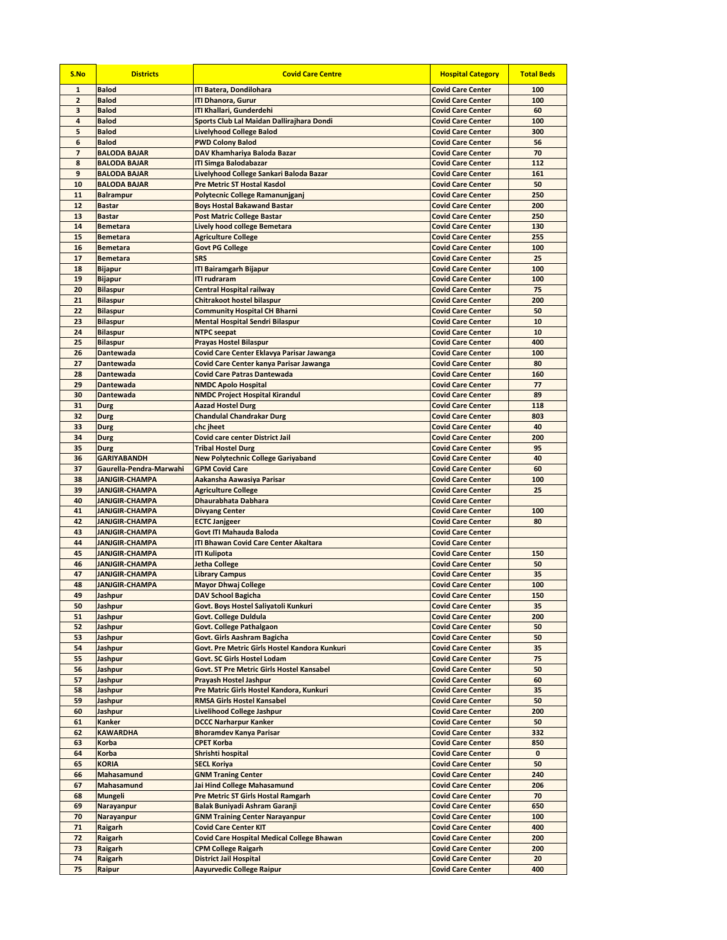| S.No                         | <b>Districts</b>                        | <b>Covid Care Centre</b>                                                     | <b>Hospital Category</b>                             | <b>Total Beds</b> |
|------------------------------|-----------------------------------------|------------------------------------------------------------------------------|------------------------------------------------------|-------------------|
| $\mathbf{1}$                 | <b>Balod</b>                            | <b>ITI Batera, Dondilohara</b>                                               | <b>Covid Care Center</b>                             | 100               |
| $\overline{2}$               | <b>Balod</b>                            | <b>ITI Dhanora, Gurur</b>                                                    | <b>Covid Care Center</b>                             | 100               |
| з                            | <b>Balod</b>                            | ITI Khallari, Gunderdehi                                                     | <b>Covid Care Center</b>                             | 60                |
| 4                            | <b>Balod</b>                            | Sports Club Lal Maidan Dallirajhara Dondi                                    | <b>Covid Care Center</b>                             | 100               |
| 5                            | <b>Balod</b>                            | <b>Livelyhood College Balod</b>                                              | <b>Covid Care Center</b>                             | 300               |
| 6<br>$\overline{\mathbf{z}}$ | <b>Balod</b><br><b>BALODA BAJAR</b>     | <b>PWD Colony Balod</b><br>DAV Khamhariya Baloda Bazar                       | <b>Covid Care Center</b><br><b>Covid Care Center</b> | 56<br>70          |
| 8                            | <b>BALODA BAJAR</b>                     | <b>ITI Simga Balodabazar</b>                                                 | <b>Covid Care Center</b>                             | 112               |
| 9                            | <b>BALODA BAJAR</b>                     | Livelyhood College Sankari Baloda Bazar                                      | <b>Covid Care Center</b>                             | 161               |
| 10                           | <b>BALODA BAJAR</b>                     | <b>Pre Metric ST Hostal Kasdol</b>                                           | <b>Covid Care Center</b>                             | 50                |
| 11                           | <b>Balrampur</b>                        | Polytecnic College Ramanunjganj                                              | <b>Covid Care Center</b>                             | 250               |
| 12                           | <b>Bastar</b>                           | <b>Boys Hostal Bakawand Bastar</b>                                           | <b>Covid Care Center</b>                             | 200               |
| 13                           | <b>Bastar</b>                           | <b>Post Matric College Bastar</b>                                            | <b>Covid Care Center</b>                             | 250               |
| 14                           | <b>Bemetara</b>                         | <b>Lively hood college Bemetara</b>                                          | <b>Covid Care Center</b>                             | 130               |
| 15                           | <b>Bemetara</b>                         | <b>Agriculture College</b>                                                   | <b>Covid Care Center</b>                             | 255               |
| 16                           | <b>Bemetara</b>                         | <b>Govt PG College</b>                                                       | <b>Covid Care Center</b>                             | 100               |
| 17                           | <b>Bemetara</b>                         | <b>SRS</b>                                                                   | <b>Covid Care Center</b>                             | 25                |
| 18                           | <b>Bijapur</b>                          | <b>ITI Bairamgarh Bijapur</b>                                                | <b>Covid Care Center</b>                             | 100               |
| 19                           | <b>Bijapur</b>                          | <b>ITI rudraram</b>                                                          | <b>Covid Care Center</b>                             | 100               |
| 20<br>21                     | <b>Bilaspur</b>                         | <b>Central Hospital railway</b><br><b>Chitrakoot hostel bilaspur</b>         | <b>Covid Care Center</b><br><b>Covid Care Center</b> | 75<br>200         |
| 22                           | <b>Bilaspur</b><br><b>Bilaspur</b>      | <b>Community Hospital CH Bharni</b>                                          | <b>Covid Care Center</b>                             | 50                |
| 23                           | <b>Bilaspur</b>                         | <b>Mental Hospital Sendri Bilaspur</b>                                       | <b>Covid Care Center</b>                             | 10                |
| 24                           | <b>Bilaspur</b>                         | <b>NTPC</b> seepat                                                           | <b>Covid Care Center</b>                             | 10                |
| 25                           | <b>Bilaspur</b>                         | <b>Prayas Hostel Bilaspur</b>                                                | <b>Covid Care Center</b>                             | 400               |
| 26                           | <b>Dantewada</b>                        | Covid Care Center Eklavya Parisar Jawanga                                    | <b>Covid Care Center</b>                             | 100               |
| 27                           | Dantewada                               | Covid Care Center kanya Parisar Jawanga                                      | <b>Covid Care Center</b>                             | 80                |
| 28                           | Dantewada                               | <b>Covid Care Patras Dantewada</b>                                           | <b>Covid Care Center</b>                             | 160               |
| 29                           | Dantewada                               | <b>NMDC Apolo Hospital</b>                                                   | <b>Covid Care Center</b>                             | 77                |
| 30                           | Dantewada                               | <b>NMDC Project Hospital Kirandul</b>                                        | <b>Covid Care Center</b>                             | 89                |
| 31                           | Durg                                    | <b>Aazad Hostel Durg</b>                                                     | <b>Covid Care Center</b>                             | 118               |
| 32                           | Durg                                    | <b>Chandulal Chandrakar Durg</b>                                             | <b>Covid Care Center</b>                             | 803               |
| 33                           | Durg                                    | chc jheet                                                                    | <b>Covid Care Center</b>                             | 40                |
| 34                           | Durg                                    | <b>Covid care center District Jail</b>                                       | <b>Covid Care Center</b>                             | 200               |
| 35                           | Durg                                    | <b>Tribal Hostel Durg</b>                                                    | <b>Covid Care Center</b>                             | 95                |
| 36                           | <b>GARIYABANDH</b>                      | <b>New Polytechnic College Gariyaband</b>                                    | <b>Covid Care Center</b>                             | 40                |
| 37                           | Gaurella-Pendra-Marwahi                 | <b>GPM Covid Care</b>                                                        | <b>Covid Care Center</b>                             | 60                |
| 38<br>39                     | <b>JANJGIR-CHAMPA</b><br>JANJGIR-CHAMPA | Aakansha Aawasiya Parisar<br><b>Agriculture College</b>                      | <b>Covid Care Center</b><br><b>Covid Care Center</b> | 100<br>25         |
| 40                           | JANJGIR-CHAMPA                          | Dhaurabhata Dabhara                                                          | <b>Covid Care Center</b>                             |                   |
| 41                           | <b>JANJGIR-CHAMPA</b>                   | <b>Divyang Center</b>                                                        | <b>Covid Care Center</b>                             | 100               |
| 42                           | <b>JANJGIR-CHAMPA</b>                   | <b>ECTC Janjgeer</b>                                                         | <b>Covid Care Center</b>                             | 80                |
| 43                           | <b>JANJGIR-CHAMPA</b>                   | Govt ITI Mahauda Baloda                                                      | <b>Covid Care Center</b>                             |                   |
| 44                           | <b>JANJGIR-CHAMPA</b>                   | <b>ITI Bhawan Covid Care Center Akaltara</b>                                 | <b>Covid Care Center</b>                             |                   |
| 45                           | <b>JANJGIR-CHAMPA</b>                   | <b>ITI Kulipota</b>                                                          | <b>Covid Care Center</b>                             | 150               |
| 46                           | <b>JANJGIR-CHAMPA</b>                   | <b>Jetha College</b>                                                         | <b>Covid Care Center</b>                             | 50                |
| 47                           | <b>JANJGIR-CHAMPA</b>                   | <b>Library Campus</b>                                                        | <b>Covid Care Center</b>                             | 35                |
| 48                           | <b>JANJGIR-CHAMPA</b>                   | <b>Mayor Dhwaj College</b>                                                   | <b>Covid Care Center</b>                             | 100               |
| 49                           | Jashpur                                 | <b>DAV School Bagicha</b>                                                    | <b>Covid Care Center</b>                             | 150               |
| 50                           | <b>Jashpur</b>                          | Govt. Boys Hostel Saliyatoli Kunkuri                                         | <b>Covid Care Center</b>                             | 35                |
| 51                           | Jashpur                                 | <b>Govt. College Duldula</b>                                                 | <b>Covid Care Center</b>                             | 200               |
| 52                           | Jashpur                                 | Govt. College Pathalgaon                                                     | <b>Covid Care Center</b>                             | 50                |
| 53                           | Jashpur                                 | Govt. Girls Aashram Bagicha                                                  | <b>Covid Care Center</b>                             | 50                |
| 54<br>55                     | Jashpur<br>Jashpur                      | Govt. Pre Metric Girls Hostel Kandora Kunkuri<br>Govt. SC Girls Hostel Lodam | <b>Covid Care Center</b><br><b>Covid Care Center</b> | 35<br>75          |
| 56                           | Jashpur                                 | Govt. ST Pre Metric Girls Hostel Kansabel                                    | <b>Covid Care Center</b>                             | 50                |
| 57                           | Jashpur                                 | Prayash Hostel Jashpur                                                       | <b>Covid Care Center</b>                             | 60                |
| 58                           | Jashpur                                 | Pre Matric Girls Hostel Kandora, Kunkuri                                     | <b>Covid Care Center</b>                             | 35                |
| 59                           | Jashpur                                 | <b>RMSA Girls Hostel Kansabel</b>                                            | <b>Covid Care Center</b>                             | 50                |
| 60                           | Jashpur                                 | <b>Livelihood College Jashpur</b>                                            | <b>Covid Care Center</b>                             | 200               |
| 61                           | Kanker                                  | <b>DCCC Narharpur Kanker</b>                                                 | <b>Covid Care Center</b>                             | 50                |
| 62                           | <b>KAWARDHA</b>                         | <b>Bhoramdev Kanya Parisar</b>                                               | <b>Covid Care Center</b>                             | 332               |
| 63                           | Korba                                   | <b>CPET Korba</b>                                                            | <b>Covid Care Center</b>                             | 850               |
| 64                           | Korba                                   | Shrishti hospital                                                            | <b>Covid Care Center</b>                             | 0                 |
| 65                           | <b>KORIA</b>                            | <b>SECL Koriya</b>                                                           | <b>Covid Care Center</b>                             | 50                |
| 66                           | Mahasamund                              | <b>GNM Traning Center</b>                                                    | <b>Covid Care Center</b>                             | 240               |
| 67                           | Mahasamund                              | Jai Hind College Mahasamund                                                  | <b>Covid Care Center</b>                             | 206               |
| 68<br>69                     | Mungeli<br>Narayanpur                   | <b>Pre Metric ST Girls Hostal Ramgarh</b><br>Balak Buniyadi Ashram Garanji   | <b>Covid Care Center</b><br><b>Covid Care Center</b> | 70<br>650         |
| 70                           | <b>Narayanpur</b>                       | <b>GNM Training Center Narayanpur</b>                                        | <b>Covid Care Center</b>                             | 100               |
| 71                           | Raigarh                                 | <b>Covid Care Center KIT</b>                                                 | <b>Covid Care Center</b>                             | 400               |
| 72                           | Raigarh                                 | <b>Covid Care Hospital Medical College Bhawan</b>                            | <b>Covid Care Center</b>                             | 200               |
| 73                           | Raigarh                                 | <b>CPM College Raigarh</b>                                                   | <b>Covid Care Center</b>                             | 200               |
| 74                           | Raigarh                                 | <b>District Jail Hospital</b>                                                | <b>Covid Care Center</b>                             | 20                |
| 75                           | Raipur                                  | <b>Aayurvedic College Raipur</b>                                             | <b>Covid Care Center</b>                             | 400               |